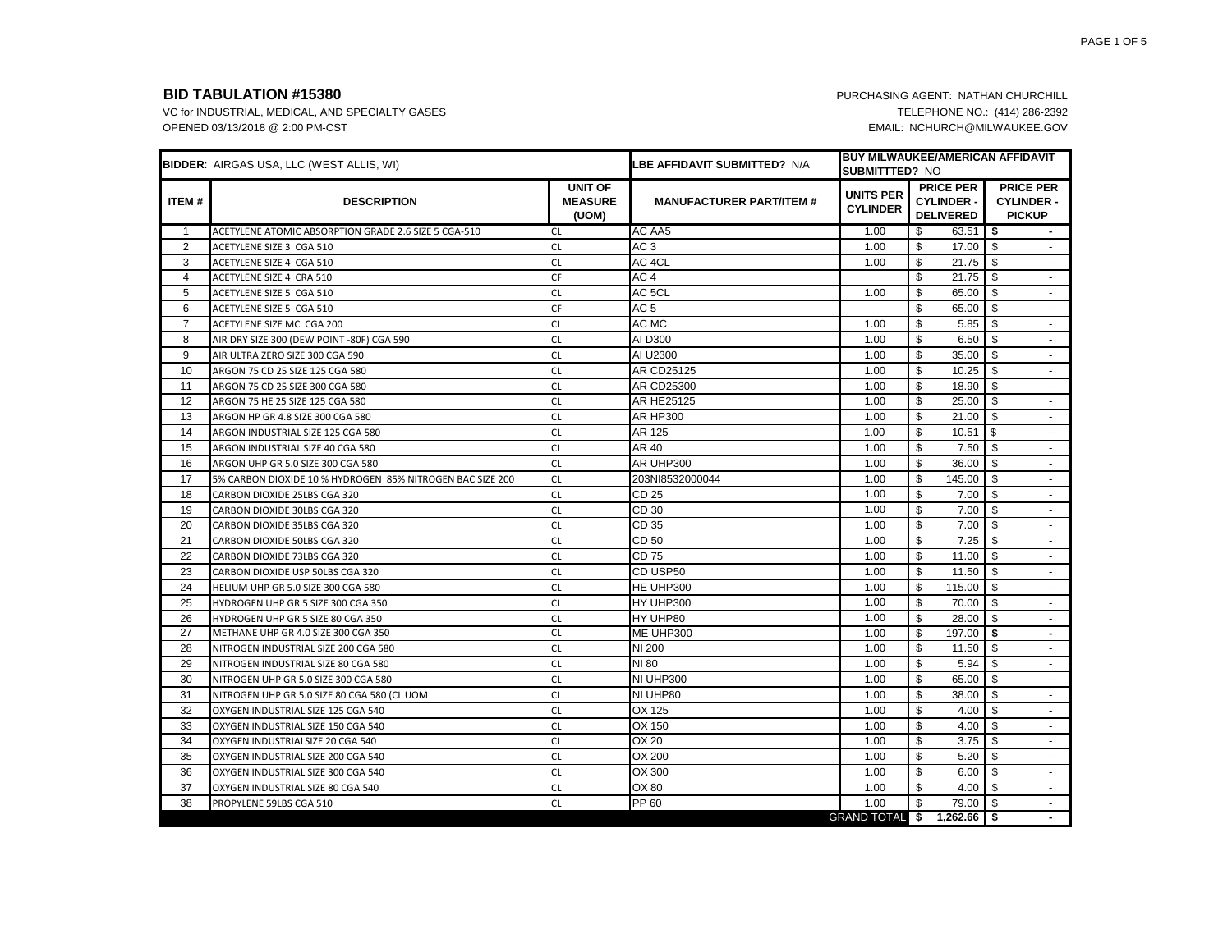|                | <b>BIDDER: AIRGAS USA, LLC (WEST ALLIS, WI)</b>           |                                           | <b>LBE AFFIDAVIT SUBMITTED?</b> N/A | <b>SUBMITTTED? NO</b>               | <b>BUY MILWAUKEE/AMERICAN AFFIDAVIT</b>                   |                                                        |
|----------------|-----------------------------------------------------------|-------------------------------------------|-------------------------------------|-------------------------------------|-----------------------------------------------------------|--------------------------------------------------------|
| <b>ITEM#</b>   | <b>DESCRIPTION</b>                                        | <b>UNIT OF</b><br><b>MEASURE</b><br>(UOM) | <b>MANUFACTURER PART/ITEM #</b>     | <b>UNITS PER</b><br><b>CYLINDER</b> | <b>PRICE PER</b><br><b>CYLINDER -</b><br><b>DELIVERED</b> | <b>PRICE PER</b><br><b>CYLINDER -</b><br><b>PICKUP</b> |
| $\mathbf{1}$   | ACETYLENE ATOMIC ABSORPTION GRADE 2.6 SIZE 5 CGA-510      | <b>CL</b>                                 | AC AA5                              | 1.00                                | 63.51<br>\$                                               | l \$<br>$\sim$                                         |
| $\overline{2}$ | ACETYLENE SIZE 3 CGA 510                                  | <b>CL</b>                                 | AC <sub>3</sub>                     | 1.00                                | \$<br>17.00                                               | \$                                                     |
| 3              | ACETYLENE SIZE 4 CGA 510                                  | <b>CL</b>                                 | AC 4CL                              | 1.00                                | \$<br>21.75                                               | l \$                                                   |
| $\overline{4}$ | ACETYLENE SIZE 4 CRA 510                                  | CF                                        | AC <sub>4</sub>                     |                                     | \$<br>21.75                                               | \$                                                     |
| 5              | ACETYLENE SIZE 5 CGA 510                                  | <b>CL</b>                                 | AC 5CL                              | 1.00                                | \$<br>65.00                                               | l \$<br>$\sim$                                         |
| 6              | ACETYLENE SIZE 5 CGA 510                                  | <b>CF</b>                                 | AC <sub>5</sub>                     |                                     | \$<br>65.00                                               | - \$<br>$\blacksquare$                                 |
| $\overline{7}$ | ACETYLENE SIZE MC CGA 200                                 | <b>CL</b>                                 | AC MC                               | 1.00                                | \$<br>5.85                                                | -\$<br>$\sim$                                          |
| 8              | AIR DRY SIZE 300 (DEW POINT -80F) CGA 590                 | <b>CL</b>                                 | AI D300                             | 1.00                                | \$<br>6.50                                                | l \$                                                   |
| 9              | AIR ULTRA ZERO SIZE 300 CGA 590                           | <b>CL</b>                                 | AI U2300                            | 1.00                                | \$<br>35.00                                               | -S<br>$\sim$                                           |
| 10             | ARGON 75 CD 25 SIZE 125 CGA 580                           | <b>CL</b>                                 | AR CD25125                          | 1.00                                | \$<br>10.25                                               | l \$<br>$\sim$                                         |
| 11             | ARGON 75 CD 25 SIZE 300 CGA 580                           | <b>CL</b>                                 | AR CD25300                          | 1.00                                | \$<br>18.90                                               | \$<br>$\sim$                                           |
| 12             | ARGON 75 HE 25 SIZE 125 CGA 580                           | <b>CL</b>                                 | AR HE25125                          | 1.00                                | \$<br>25.00                                               | - \$<br>$\sim$                                         |
| 13             | ARGON HP GR 4.8 SIZE 300 CGA 580                          | <b>CL</b>                                 | <b>AR HP300</b>                     | 1.00                                | \$<br>21.00                                               | -\$<br>$\sim$                                          |
| 14             | ARGON INDUSTRIAL SIZE 125 CGA 580                         | <b>CL</b>                                 | AR 125                              | 1.00                                | \$<br>10.51                                               | l \$<br>$\sim$                                         |
| 15             | ARGON INDUSTRIAL SIZE 40 CGA 580                          | <b>CL</b>                                 | AR 40                               | 1.00                                | \$<br>7.50                                                | \$                                                     |
| 16             | ARGON UHP GR 5.0 SIZE 300 CGA 580                         | <b>CL</b>                                 | AR UHP300                           | 1.00                                | \$<br>36.00                                               | -\$<br>$\sim$                                          |
| 17             | 5% CARBON DIOXIDE 10 % HYDROGEN 85% NITROGEN BAC SIZE 200 | <b>CL</b>                                 | 203NI8532000044                     | 1.00                                | \$<br>145.00                                              | l \$<br>$\sim$                                         |
| 18             | CARBON DIOXIDE 25LBS CGA 320                              | <b>CL</b>                                 | CD 25                               | 1.00                                | \$<br>7.00                                                | \$<br>$\sim$                                           |
| 19             | CARBON DIOXIDE 30LBS CGA 320                              | <b>CL</b>                                 | CD 30                               | 1.00                                | \$<br>7.00                                                | -\$<br>$\sim$                                          |
| 20             | CARBON DIOXIDE 35LBS CGA 320                              | <b>CL</b>                                 | CD 35                               | 1.00                                | \$<br>7.00                                                | \$<br>$\sim$                                           |
| 21             | CARBON DIOXIDE 50LBS CGA 320                              | <b>CL</b>                                 | CD 50                               | 1.00                                | \$<br>7.25                                                | l \$<br>$\sim$                                         |
| 22             | CARBON DIOXIDE 73LBS CGA 320                              | <b>CL</b>                                 | CD 75                               | 1.00                                | \$<br>11.00                                               | \$<br>$\sim$                                           |
| 23             | CARBON DIOXIDE USP 50LBS CGA 320                          | <b>CL</b>                                 | CD USP50                            | 1.00                                | <b>S</b><br>11.50                                         | - \$<br>$\sim$                                         |
| 24             | HELIUM UHP GR 5.0 SIZE 300 CGA 580                        | <b>CL</b>                                 | HE UHP300                           | 1.00                                | \$<br>115.00                                              | - \$<br>$\blacksquare$                                 |
| 25             | HYDROGEN UHP GR 5 SIZE 300 CGA 350                        | <b>CL</b>                                 | HY UHP300                           | 1.00                                | \$<br>70.00                                               | - \$<br>$\sim$                                         |
| 26             | HYDROGEN UHP GR 5 SIZE 80 CGA 350                         | <b>CL</b>                                 | HY UHP80                            | 1.00                                | \$<br>28.00                                               | -S<br>$\sim$                                           |
| 27             | METHANE UHP GR 4.0 SIZE 300 CGA 350                       | <b>CL</b>                                 | ME UHP300                           | 1.00                                | \$<br>197.00                                              | Ŝ.<br>$\sim$                                           |
| 28             | NITROGEN INDUSTRIAL SIZE 200 CGA 580                      | <b>CL</b>                                 | <b>NI 200</b>                       | 1.00                                | \$<br>11.50                                               | l \$<br>$\sim$                                         |
| 29             | NITROGEN INDUSTRIAL SIZE 80 CGA 580                       | <b>CL</b>                                 | NI 80                               | 1.00                                | \$<br>5.94                                                | \$.<br>$\sim$                                          |
| 30             | NITROGEN UHP GR 5.0 SIZE 300 CGA 580                      | <b>CL</b>                                 | NI UHP300                           | 1.00                                | \$<br>65.00                                               | - \$<br>$\sim$                                         |
| 31             | NITROGEN UHP GR 5.0 SIZE 80 CGA 580 (CL UOM               | <b>CL</b>                                 | NI UHP80                            | 1.00                                | \$<br>38.00                                               | \$<br>$\sim$                                           |
| 32             | OXYGEN INDUSTRIAL SIZE 125 CGA 540                        | <b>CL</b>                                 | OX 125                              | 1.00                                | \$<br>4.00                                                | - \$<br>$\sim$                                         |
| 33             | OXYGEN INDUSTRIAL SIZE 150 CGA 540                        | <b>CL</b>                                 | OX 150                              | 1.00                                | \$<br>4.00                                                | -S                                                     |
| 34             | OXYGEN INDUSTRIALSIZE 20 CGA 540                          | <b>CL</b>                                 | OX 20                               | 1.00                                | \$<br>3.75                                                | \$<br>$\sim$                                           |
| 35             | OXYGEN INDUSTRIAL SIZE 200 CGA 540                        | <b>CL</b>                                 | OX 200                              | 1.00                                | \$<br>5.20                                                | -\$<br>$\sim$                                          |
| 36             | OXYGEN INDUSTRIAL SIZE 300 CGA 540                        | <b>CL</b>                                 | OX 300                              | 1.00                                | \$<br>6.00                                                | -\$<br>$\sim$                                          |
| 37             | OXYGEN INDUSTRIAL SIZE 80 CGA 540                         | <b>CL</b>                                 | OX 80                               | 1.00                                | \$<br>4.00                                                | - \$<br>$\sim$                                         |
| 38             | PROPYLENE 59LBS CGA 510                                   | <b>CL</b>                                 | PP 60                               | 1.00                                | \$<br>79.00                                               | \$<br>$\sim$                                           |
|                |                                                           |                                           |                                     | <b>GRAND TOTAL \$</b>               | $1,262.66$ \$                                             |                                                        |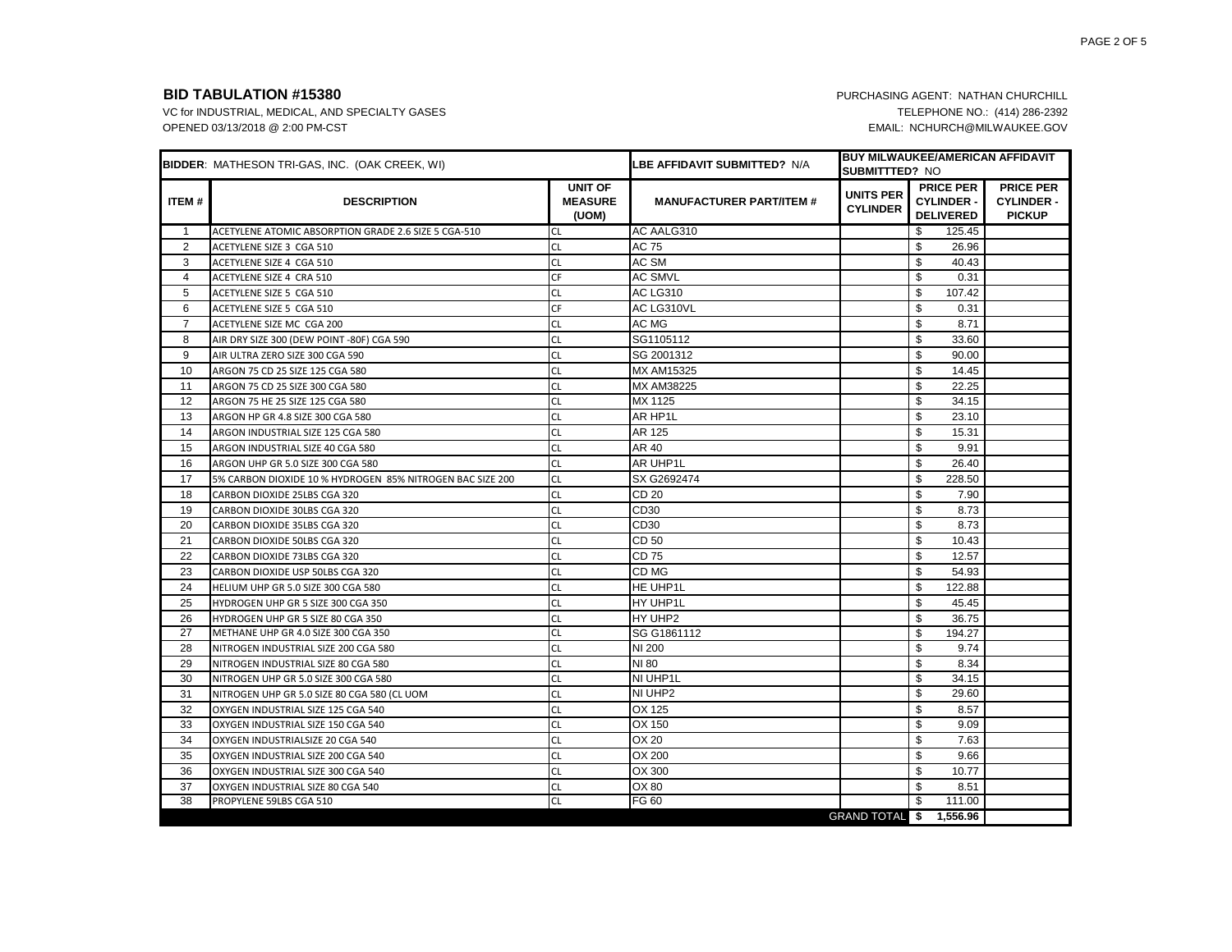|                | <b>BIDDER: MATHESON TRI-GAS, INC. (OAK CREEK, WI)</b>     |                                           | LBE AFFIDAVIT SUBMITTED?  N/A   | <b>SUBMITTTED? NO</b>               | <b>BUY MILWAUKEE/AMERICAN AFFIDAVIT</b>                   |                                                        |
|----------------|-----------------------------------------------------------|-------------------------------------------|---------------------------------|-------------------------------------|-----------------------------------------------------------|--------------------------------------------------------|
| <b>ITEM#</b>   | <b>DESCRIPTION</b>                                        | <b>UNIT OF</b><br><b>MEASURE</b><br>(UOM) | <b>MANUFACTURER PART/ITEM #</b> | <b>UNITS PER</b><br><b>CYLINDER</b> | <b>PRICE PER</b><br><b>CYLINDER -</b><br><b>DELIVERED</b> | <b>PRICE PER</b><br><b>CYLINDER -</b><br><b>PICKUP</b> |
| 1              | ACETYLENE ATOMIC ABSORPTION GRADE 2.6 SIZE 5 CGA-510      | <b>CL</b>                                 | AC AALG310                      |                                     | \$<br>125.45                                              |                                                        |
| $\overline{2}$ | ACETYLENE SIZE 3 CGA 510                                  | <b>CL</b>                                 | AC 75                           |                                     | \$<br>26.96                                               |                                                        |
| 3              | ACETYLENE SIZE 4 CGA 510                                  | <b>CL</b>                                 | AC SM                           |                                     | \$<br>40.43                                               |                                                        |
| 4              | ACETYLENE SIZE 4 CRA 510                                  | <b>CF</b>                                 | <b>AC SMVL</b>                  |                                     | \$<br>0.31                                                |                                                        |
| 5              | ACETYLENE SIZE 5 CGA 510                                  | <b>CL</b>                                 | <b>AC LG310</b>                 |                                     | \$<br>107.42                                              |                                                        |
| 6              | ACETYLENE SIZE 5 CGA 510                                  | CF                                        | AC LG310VL                      |                                     | \$<br>0.31                                                |                                                        |
| $\overline{7}$ | ACETYLENE SIZE MC CGA 200                                 | <b>CL</b>                                 | AC MG                           |                                     | \$<br>8.71                                                |                                                        |
| 8              | AIR DRY SIZE 300 (DEW POINT -80F) CGA 590                 | <b>CL</b>                                 | SG1105112                       |                                     | \$<br>33.60                                               |                                                        |
| 9              | AIR ULTRA ZERO SIZE 300 CGA 590                           | <b>CL</b>                                 | SG 2001312                      |                                     | \$<br>90.00                                               |                                                        |
| 10             | ARGON 75 CD 25 SIZE 125 CGA 580                           | <b>CL</b>                                 | <b>MX AM15325</b>               |                                     | \$<br>14.45                                               |                                                        |
| 11             | ARGON 75 CD 25 SIZE 300 CGA 580                           | <b>CL</b>                                 | MX AM38225                      |                                     | \$<br>22.25                                               |                                                        |
| 12             | ARGON 75 HE 25 SIZE 125 CGA 580                           | <b>CL</b>                                 | MX 1125                         |                                     | \$<br>34.15                                               |                                                        |
| 13             | ARGON HP GR 4.8 SIZE 300 CGA 580                          | <b>CL</b>                                 | AR HP1L                         |                                     | \$<br>23.10                                               |                                                        |
| 14             | ARGON INDUSTRIAL SIZE 125 CGA 580                         | <b>CL</b>                                 | AR 125                          |                                     | \$<br>15.31                                               |                                                        |
| 15             | ARGON INDUSTRIAL SIZE 40 CGA 580                          | <b>CL</b>                                 | AR 40                           |                                     | \$<br>9.91                                                |                                                        |
| 16             | ARGON UHP GR 5.0 SIZE 300 CGA 580                         | <b>CL</b>                                 | AR UHP1L                        |                                     | \$<br>26.40                                               |                                                        |
| 17             | 5% CARBON DIOXIDE 10 % HYDROGEN 85% NITROGEN BAC SIZE 200 | <b>CL</b>                                 | SX G2692474                     |                                     | \$<br>228.50                                              |                                                        |
| 18             | CARBON DIOXIDE 25LBS CGA 320                              | <b>CL</b>                                 | CD 20                           |                                     | \$<br>7.90                                                |                                                        |
| 19             | CARBON DIOXIDE 30LBS CGA 320                              | <b>CL</b>                                 | CD30                            |                                     | \$<br>8.73                                                |                                                        |
| 20             | CARBON DIOXIDE 35LBS CGA 320                              | <b>CL</b>                                 | CD30                            |                                     | \$<br>8.73                                                |                                                        |
| 21             | CARBON DIOXIDE 50LBS CGA 320                              | <b>CL</b>                                 | CD 50                           |                                     | \$<br>10.43                                               |                                                        |
| 22             | CARBON DIOXIDE 73LBS CGA 320                              | <b>CL</b>                                 | CD 75                           |                                     | \$<br>12.57                                               |                                                        |
| 23             | CARBON DIOXIDE USP 50LBS CGA 320                          | <b>CL</b>                                 | CD MG                           |                                     | \$<br>54.93                                               |                                                        |
| 24             | HELIUM UHP GR 5.0 SIZE 300 CGA 580                        | <b>CL</b>                                 | HE UHP1L                        |                                     | \$<br>122.88                                              |                                                        |
| 25             | HYDROGEN UHP GR 5 SIZE 300 CGA 350                        | <b>CL</b>                                 | HY UHP1L                        |                                     | \$<br>45.45                                               |                                                        |
| 26             | HYDROGEN UHP GR 5 SIZE 80 CGA 350                         | <b>CL</b>                                 | HY UHP2                         |                                     | \$<br>36.75                                               |                                                        |
| 27             | METHANE UHP GR 4.0 SIZE 300 CGA 350                       | <b>CL</b>                                 | SG G1861112                     |                                     | \$<br>194.27                                              |                                                        |
| 28             | NITROGEN INDUSTRIAL SIZE 200 CGA 580                      | <b>CL</b>                                 | <b>NI 200</b>                   |                                     | \$<br>9.74                                                |                                                        |
| 29             | NITROGEN INDUSTRIAL SIZE 80 CGA 580                       | <b>CL</b>                                 | NI 80                           |                                     | \$<br>8.34                                                |                                                        |
| 30             | NITROGEN UHP GR 5.0 SIZE 300 CGA 580                      | <b>CL</b>                                 | NI UHP1L                        |                                     | \$<br>34.15                                               |                                                        |
| 31             | NITROGEN UHP GR 5.0 SIZE 80 CGA 580 (CL UOM               | <b>CL</b>                                 | NI UHP2                         |                                     | \$<br>29.60                                               |                                                        |
| 32             | OXYGEN INDUSTRIAL SIZE 125 CGA 540                        | <b>CL</b>                                 | OX 125                          |                                     | \$<br>8.57                                                |                                                        |
| 33             | OXYGEN INDUSTRIAL SIZE 150 CGA 540                        | <b>CL</b>                                 | OX 150                          |                                     | \$<br>9.09                                                |                                                        |
| 34             | OXYGEN INDUSTRIALSIZE 20 CGA 540                          | <b>CL</b>                                 | OX 20                           |                                     | \$<br>7.63                                                |                                                        |
| 35             | OXYGEN INDUSTRIAL SIZE 200 CGA 540                        | <b>CL</b>                                 | OX 200                          |                                     | \$<br>9.66                                                |                                                        |
| 36             | OXYGEN INDUSTRIAL SIZE 300 CGA 540                        | <b>CL</b>                                 | OX 300                          |                                     | \$<br>10.77                                               |                                                        |
| 37             | OXYGEN INDUSTRIAL SIZE 80 CGA 540                         | <b>CL</b>                                 | OX 80                           |                                     | \$<br>8.51                                                |                                                        |
| 38             | PROPYLENE 59LBS CGA 510                                   | <b>CL</b>                                 | FG 60                           |                                     | \$<br>111.00                                              |                                                        |
|                |                                                           |                                           |                                 | GRAND TOTAL \$ 1,556.96             |                                                           |                                                        |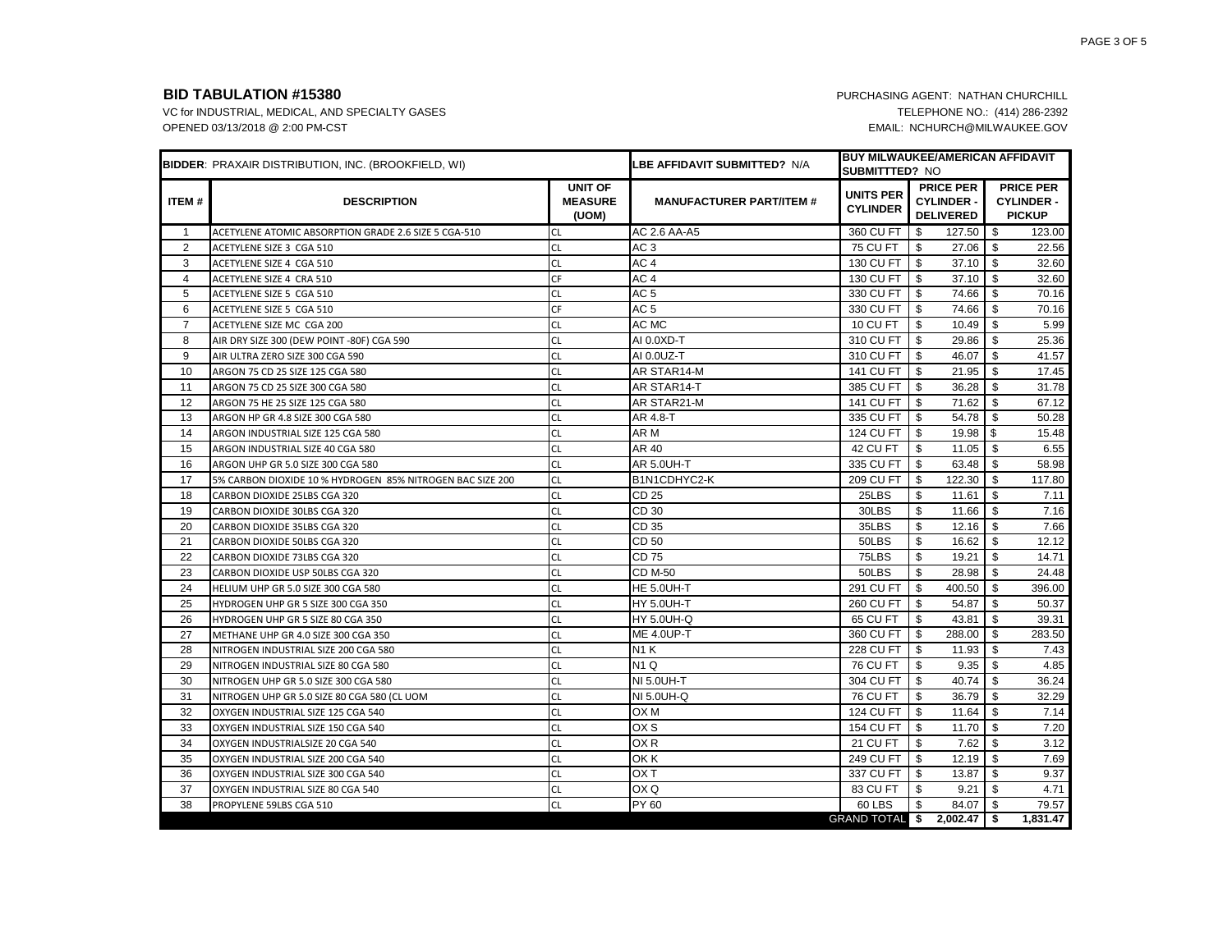|                | <b>BIDDER: PRAXAIR DISTRIBUTION, INC. (BROOKFIELD, WI)</b> |                                           | LBE AFFIDAVIT SUBMITTED? N/A    | <b>SUBMITTTED? NO</b>               | <b>BUY MILWAUKEE/AMERICAN AFFIDAVIT</b>                   |                                                        |
|----------------|------------------------------------------------------------|-------------------------------------------|---------------------------------|-------------------------------------|-----------------------------------------------------------|--------------------------------------------------------|
| <b>ITEM#</b>   | <b>DESCRIPTION</b>                                         | <b>UNIT OF</b><br><b>MEASURE</b><br>(UOM) | <b>MANUFACTURER PART/ITEM #</b> | <b>UNITS PER</b><br><b>CYLINDER</b> | <b>PRICE PER</b><br><b>CYLINDER -</b><br><b>DELIVERED</b> | <b>PRICE PER</b><br><b>CYLINDER -</b><br><b>PICKUP</b> |
| $\mathbf{1}$   | ACETYLENE ATOMIC ABSORPTION GRADE 2.6 SIZE 5 CGA-510       | <b>CL</b>                                 | AC 2.6 AA-A5                    | 360 CU FT                           | \$<br>127.50                                              | - \$<br>123.00                                         |
| 2              | ACETYLENE SIZE 3 CGA 510                                   | <b>CL</b>                                 | AC <sub>3</sub>                 | <b>75 CU FT</b>                     | \$<br>27.06                                               | \$<br>22.56                                            |
| 3              | ACETYLENE SIZE 4 CGA 510                                   | <b>CL</b>                                 | AC 4                            | 130 CU FT                           | \$<br>37.10                                               | - \$<br>32.60                                          |
| 4              | ACETYLENE SIZE 4 CRA 510                                   | CF                                        | AC 4                            | 130 CU FT                           | 37.10<br>\$                                               | \$<br>32.60                                            |
| 5              | ACETYLENE SIZE 5 CGA 510                                   | <b>CL</b>                                 | AC <sub>5</sub>                 | 330 CU FT                           | \$<br>74.66                                               | -\$<br>70.16                                           |
| 6              | ACETYLENE SIZE 5 CGA 510                                   | CF                                        | AC <sub>5</sub>                 | 330 CU FT                           | \$<br>74.66                                               | \$<br>70.16                                            |
| $\overline{7}$ | ACETYLENE SIZE MC CGA 200                                  | <b>CL</b>                                 | AC MC                           | <b>10 CU FT</b>                     | \$<br>10.49                                               | 5.99<br>-\$                                            |
| 8              | AIR DRY SIZE 300 (DEW POINT -80F) CGA 590                  | <b>CL</b>                                 | AI 0.0XD-T                      | 310 CU FT                           | \$<br>29.86                                               | \$<br>25.36                                            |
| 9              | AIR ULTRA ZERO SIZE 300 CGA 590                            | <b>CL</b>                                 | AI 0.0UZ-T                      | 310 CU FT                           | 46.07<br>\$                                               | \$<br>41.57                                            |
| 10             | ARGON 75 CD 25 SIZE 125 CGA 580                            | <b>CL</b>                                 | AR STAR14-M                     | <b>141 CU FT</b>                    | \$<br>21.95                                               | \$<br>17.45                                            |
| 11             | ARGON 75 CD 25 SIZE 300 CGA 580                            | <b>CL</b>                                 | AR STAR14-T                     | 385 CU FT                           | \$<br>36.28                                               | \$<br>31.78                                            |
| 12             | ARGON 75 HE 25 SIZE 125 CGA 580                            | <b>CL</b>                                 | AR STAR21-M                     | 141 CU FT                           | \$<br>71.62                                               | \$<br>67.12                                            |
| 13             | ARGON HP GR 4.8 SIZE 300 CGA 580                           | <b>CL</b>                                 | AR 4.8-T                        | 335 CU FT                           | \$<br>54.78                                               | \$<br>50.28                                            |
| 14             | ARGON INDUSTRIAL SIZE 125 CGA 580                          | <b>CL</b>                                 | AR M                            | 124 CU FT                           | \$<br>19.98                                               | $\sqrt{3}$<br>15.48                                    |
| 15             | ARGON INDUSTRIAL SIZE 40 CGA 580                           | <b>CL</b>                                 | AR 40                           | 42 CU FT                            | \$<br>11.05                                               | \$<br>6.55                                             |
| 16             | ARGON UHP GR 5.0 SIZE 300 CGA 580                          | <b>CL</b>                                 | <b>AR 5.0UH-T</b>               | 335 CU FT                           | \$<br>63.48                                               | \$<br>58.98                                            |
| 17             | 5% CARBON DIOXIDE 10 % HYDROGEN 85% NITROGEN BAC SIZE 200  | <b>CL</b>                                 | B1N1CDHYC2-K                    | <b>209 CU FT</b>                    | \$<br>122.30                                              | \$<br>117.80                                           |
| 18             | CARBON DIOXIDE 25LBS CGA 320                               | <b>CL</b>                                 | CD 25                           | 25LBS                               | \$<br>11.61                                               | \$<br>7.11                                             |
| 19             | CARBON DIOXIDE 30LBS CGA 320                               | <b>CL</b>                                 | CD 30                           | 30LBS                               | \$<br>11.66                                               | \$<br>7.16                                             |
| 20             | CARBON DIOXIDE 35LBS CGA 320                               | <b>CL</b>                                 | CD 35                           | 35LBS                               | \$<br>12.16                                               | \$<br>7.66                                             |
| 21             | CARBON DIOXIDE 50LBS CGA 320                               | <b>CL</b>                                 | CD 50                           | 50LBS                               | \$<br>16.62                                               | \$<br>12.12                                            |
| 22             | CARBON DIOXIDE 73LBS CGA 320                               | <b>CL</b>                                 | CD 75                           | 75LBS                               | \$<br>19.21                                               | \$<br>14.71                                            |
| 23             | CARBON DIOXIDE USP 50LBS CGA 320                           | <b>CL</b>                                 | <b>CD M-50</b>                  | 50LBS                               | \$<br>28.98                                               | \$<br>24.48                                            |
| 24             | HELIUM UHP GR 5.0 SIZE 300 CGA 580                         | <b>CL</b>                                 | HE 5.0UH-T                      | 291 CU FT                           | \$<br>400.50                                              | \$<br>396.00                                           |
| 25             | HYDROGEN UHP GR 5 SIZE 300 CGA 350                         | <b>CL</b>                                 | HY 5.0UH-T                      | <b>260 CU FT</b>                    | \$<br>54.87                                               | \$<br>50.37                                            |
| 26             | HYDROGEN UHP GR 5 SIZE 80 CGA 350                          | <b>CL</b>                                 | <b>HY 5.0UH-Q</b>               | 65 CU FT                            | \$<br>43.81                                               | \$<br>39.31                                            |
| 27             | METHANE UHP GR 4.0 SIZE 300 CGA 350                        | <b>CL</b>                                 | <b>ME 4.0UP-T</b>               | 360 CU FT                           | 288.00<br>\$                                              | \$<br>283.50                                           |
| 28             | NITROGEN INDUSTRIAL SIZE 200 CGA 580                       | <b>CL</b>                                 | N1 K                            | <b>228 CU FT</b>                    | \$<br>11.93                                               | \$<br>7.43                                             |
| 29             | NITROGEN INDUSTRIAL SIZE 80 CGA 580                        | <b>CL</b>                                 | N <sub>1</sub> Q                | <b>76 CU FT</b>                     | 9.35<br>\$                                                | \$<br>4.85                                             |
| 30             | NITROGEN UHP GR 5.0 SIZE 300 CGA 580                       | <b>CL</b>                                 | <b>NI 5.0UH-T</b>               | 304 CU FT                           | \$<br>40.74                                               | \$<br>36.24                                            |
| 31             | NITROGEN UHP GR 5.0 SIZE 80 CGA 580 (CL UOM                | <b>CL</b>                                 | NI 5.0UH-Q                      | <b>76 CU FT</b>                     | \$<br>36.79                                               | \$<br>32.29                                            |
| 32             | OXYGEN INDUSTRIAL SIZE 125 CGA 540                         | <b>CL</b>                                 | OX M                            | 124 CU FT                           | \$<br>11.64                                               | \$<br>7.14                                             |
| 33             | OXYGEN INDUSTRIAL SIZE 150 CGA 540                         | <b>CL</b>                                 | OX S                            | <b>154 CU FT</b>                    | \$<br>11.70                                               | \$<br>7.20                                             |
| 34             | OXYGEN INDUSTRIALSIZE 20 CGA 540                           | <b>CL</b>                                 | OX <sub>R</sub>                 | 21 CU FT                            | \$<br>7.62                                                | \$<br>3.12                                             |
| 35             | OXYGEN INDUSTRIAL SIZE 200 CGA 540                         | <b>CL</b>                                 | OK K                            | 249 CU FT                           | \$<br>12.19                                               | \$<br>7.69                                             |
| 36             | OXYGEN INDUSTRIAL SIZE 300 CGA 540                         | <b>CL</b>                                 | OX T                            | 337 CU FT                           | \$<br>13.87                                               | \$<br>9.37                                             |
| 37             | OXYGEN INDUSTRIAL SIZE 80 CGA 540                          | <b>CL</b>                                 | OX Q                            | 83 CU FT                            | \$<br>9.21                                                | 4.71<br>\$                                             |
| 38             | PROPYLENE 59LBS CGA 510                                    | <b>CL</b>                                 | PY 60                           | 60 LBS                              | \$<br>84.07                                               | \$<br>79.57                                            |
|                |                                                            |                                           |                                 | <b>GRAND TOTAL</b> \$               | $2,002.47$ \$                                             | 1,831.47                                               |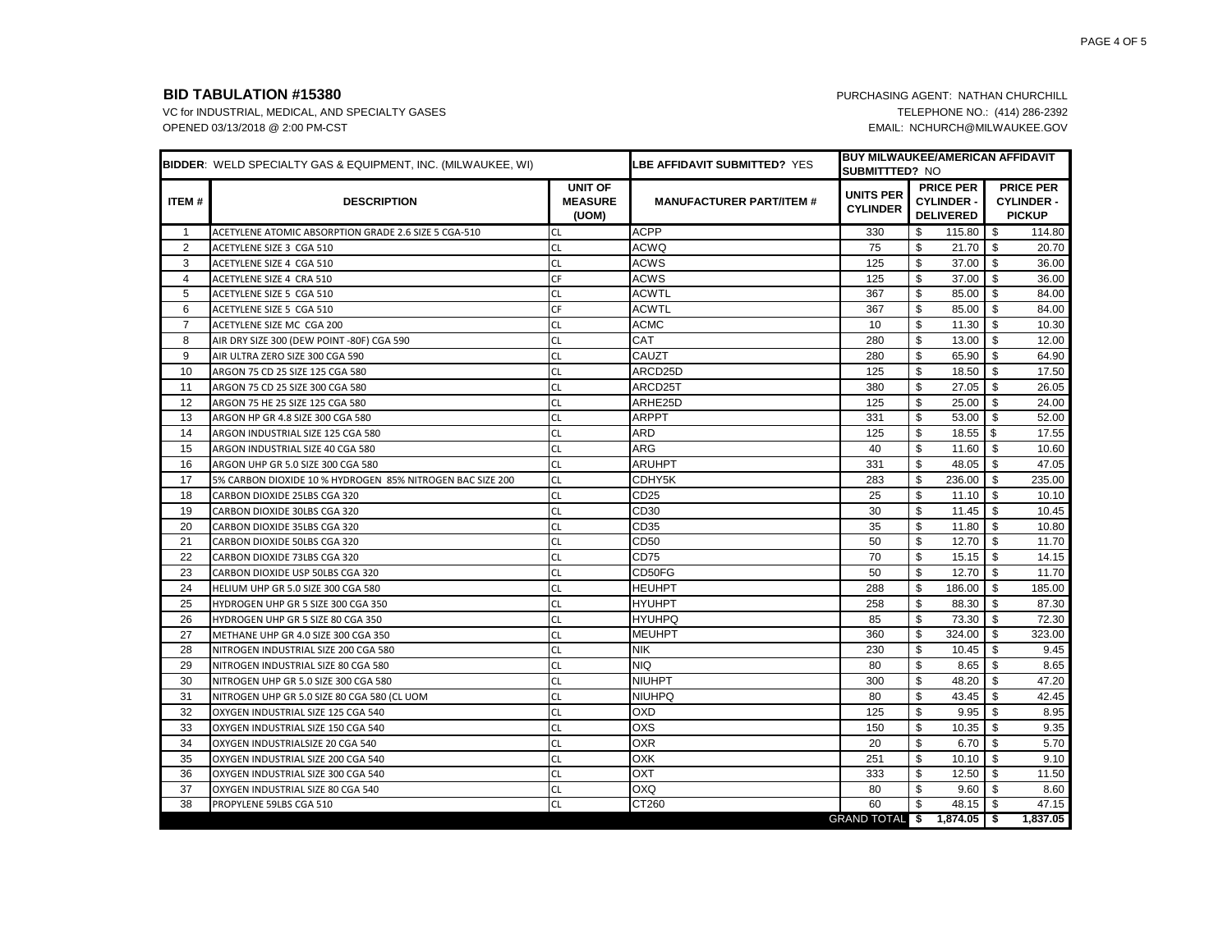|                | BIDDER: WELD SPECIALTY GAS & EQUIPMENT, INC. (MILWAUKEE, WI) |                                           | <b>LBE AFFIDAVIT SUBMITTED? YES</b> | <b>SUBMITTTED? NO</b>               | <b>BUY MILWAUKEE/AMERICAN AFFIDAVIT</b>                   |                                                        |
|----------------|--------------------------------------------------------------|-------------------------------------------|-------------------------------------|-------------------------------------|-----------------------------------------------------------|--------------------------------------------------------|
| ITEM#          | <b>DESCRIPTION</b>                                           | <b>UNIT OF</b><br><b>MEASURE</b><br>(UOM) | <b>MANUFACTURER PART/ITEM #</b>     | <b>UNITS PER</b><br><b>CYLINDER</b> | <b>PRICE PER</b><br><b>CYLINDER -</b><br><b>DELIVERED</b> | <b>PRICE PER</b><br><b>CYLINDER -</b><br><b>PICKUP</b> |
| $\mathbf{1}$   | ACETYLENE ATOMIC ABSORPTION GRADE 2.6 SIZE 5 CGA-510         | <b>CL</b>                                 | <b>ACPP</b>                         | 330                                 | \$<br>115.80                                              | \$<br>114.80                                           |
| 2              | ACETYLENE SIZE 3 CGA 510                                     | <b>CL</b>                                 | <b>ACWQ</b>                         | 75                                  | \$<br>21.70                                               | \$<br>20.70                                            |
| 3              | ACETYLENE SIZE 4 CGA 510                                     | <b>CL</b>                                 | ACWS                                | 125                                 | \$<br>37.00                                               | - \$<br>36.00                                          |
| $\overline{4}$ | ACETYLENE SIZE 4 CRA 510                                     | <b>CF</b>                                 | ACWS                                | 125                                 | \$<br>37.00                                               | \$<br>36.00                                            |
| 5              | ACETYLENE SIZE 5 CGA 510                                     | <b>CL</b>                                 | <b>ACWTL</b>                        | 367                                 | \$<br>85.00                                               | \$<br>84.00                                            |
| 6              | ACETYLENE SIZE 5 CGA 510                                     | CF                                        | <b>ACWTL</b>                        | 367                                 | \$<br>85.00                                               | \$<br>84.00                                            |
| $\overline{7}$ | ACETYLENE SIZE MC CGA 200                                    | <b>CL</b>                                 | <b>ACMC</b>                         | 10                                  | \$<br>11.30                                               | \$<br>10.30                                            |
| 8              | AIR DRY SIZE 300 (DEW POINT -80F) CGA 590                    | <b>CL</b>                                 | <b>CAT</b>                          | 280                                 | \$<br>13.00                                               | 12.00<br>\$                                            |
| 9              | AIR ULTRA ZERO SIZE 300 CGA 590                              | <b>CL</b>                                 | CAUZT                               | 280                                 | \$<br>65.90                                               | \$<br>64.90                                            |
| 10             | ARGON 75 CD 25 SIZE 125 CGA 580                              | <b>CL</b>                                 | ARCD25D                             | 125                                 | \$<br>18.50                                               | \$<br>17.50                                            |
| 11             | ARGON 75 CD 25 SIZE 300 CGA 580                              | <b>CL</b>                                 | ARCD25T                             | 380                                 | \$<br>27.05                                               | \$<br>26.05                                            |
| 12             | ARGON 75 HE 25 SIZE 125 CGA 580                              | <b>CL</b>                                 | ARHE25D                             | 125                                 | \$<br>25.00                                               | \$<br>24.00                                            |
| 13             | ARGON HP GR 4.8 SIZE 300 CGA 580                             | <b>CL</b>                                 | <b>ARPPT</b>                        | 331                                 | \$<br>53.00                                               | \$<br>52.00                                            |
| 14             | ARGON INDUSTRIAL SIZE 125 CGA 580                            | <b>CL</b>                                 | ARD                                 | 125                                 | \$<br>18.55                                               | \$<br>17.55                                            |
| 15             | ARGON INDUSTRIAL SIZE 40 CGA 580                             | CL                                        | ARG                                 | 40                                  | \$<br>11.60                                               | \$<br>10.60                                            |
| 16             | ARGON UHP GR 5.0 SIZE 300 CGA 580                            | <b>CL</b>                                 | <b>ARUHPT</b>                       | 331                                 | \$<br>48.05                                               | \$<br>47.05                                            |
| 17             | 5% CARBON DIOXIDE 10 % HYDROGEN 85% NITROGEN BAC SIZE 200    | <b>CL</b>                                 | CDHY5K                              | 283                                 | \$<br>236.00                                              | \$<br>235.00                                           |
| 18             | CARBON DIOXIDE 25LBS CGA 320                                 | <b>CL</b>                                 | CD25                                | 25                                  | \$<br>11.10                                               | \$<br>10.10                                            |
| 19             | CARBON DIOXIDE 30LBS CGA 320                                 | <b>CL</b>                                 | CD <sub>30</sub>                    | 30                                  | \$<br>11.45                                               | \$<br>10.45                                            |
| 20             | CARBON DIOXIDE 35LBS CGA 320                                 | <b>CL</b>                                 | CD <sub>35</sub>                    | 35                                  | \$<br>11.80                                               | \$<br>10.80                                            |
| 21             | CARBON DIOXIDE 50LBS CGA 320                                 | <b>CL</b>                                 | CD50                                | 50                                  | \$<br>12.70                                               | - \$<br>11.70                                          |
| 22             | CARBON DIOXIDE 73LBS CGA 320                                 | <b>CL</b>                                 | CD75                                | 70                                  | \$<br>15.15                                               | \$<br>14.15                                            |
| 23             | CARBON DIOXIDE USP 50LBS CGA 320                             | <b>CL</b>                                 | CD50FG                              | 50                                  | \$<br>12.70                                               | \$<br>11.70                                            |
| 24             | HELIUM UHP GR 5.0 SIZE 300 CGA 580                           | <b>CL</b>                                 | <b>HEUHPT</b>                       | 288                                 | \$<br>186.00                                              | \$<br>185.00                                           |
| 25             | HYDROGEN UHP GR 5 SIZE 300 CGA 350                           | <b>CL</b>                                 | <b>HYUHPT</b>                       | 258                                 | \$<br>88.30                                               | 87.30<br>-\$                                           |
| 26             | HYDROGEN UHP GR 5 SIZE 80 CGA 350                            | <b>CL</b>                                 | <b>HYUHPQ</b>                       | 85                                  | \$<br>73.30                                               | \$<br>72.30                                            |
| 27             | METHANE UHP GR 4.0 SIZE 300 CGA 350                          | <b>CL</b>                                 | <b>MEUHPT</b>                       | 360                                 | \$<br>324.00                                              | \$<br>323.00                                           |
| 28             | NITROGEN INDUSTRIAL SIZE 200 CGA 580                         | <b>CL</b>                                 | Nik                                 | 230                                 | \$<br>10.45                                               | - \$<br>9.45                                           |
| 29             | NITROGEN INDUSTRIAL SIZE 80 CGA 580                          | <b>CL</b>                                 | NIQ.                                | 80                                  | \$<br>8.65                                                | \$<br>8.65                                             |
| 30             | NITROGEN UHP GR 5.0 SIZE 300 CGA 580                         | <b>CL</b>                                 | NIUHPT                              | 300                                 | \$<br>48.20                                               | 47.20<br>\$                                            |
| 31             | NITROGEN UHP GR 5.0 SIZE 80 CGA 580 (CL UOM                  | <b>CL</b>                                 | <b>NIUHPQ</b>                       | 80                                  | \$<br>43.45                                               | \$<br>42.45                                            |
| 32             | OXYGEN INDUSTRIAL SIZE 125 CGA 540                           | <b>CL</b>                                 | <b>OXD</b>                          | 125                                 | \$<br>9.95                                                | \$<br>8.95                                             |
| 33             | OXYGEN INDUSTRIAL SIZE 150 CGA 540                           | <b>CL</b>                                 | OXS                                 | 150                                 | \$<br>10.35                                               | 9.35<br>- \$                                           |
| 34             | OXYGEN INDUSTRIALSIZE 20 CGA 540                             | <b>CL</b>                                 | <b>OXR</b>                          | 20                                  | \$<br>6.70                                                | 5.70<br>- \$                                           |
| 35             | OXYGEN INDUSTRIAL SIZE 200 CGA 540                           | <b>CL</b>                                 | <b>OXK</b>                          | 251                                 | \$<br>10.10                                               | \$<br>9.10                                             |
| 36             | OXYGEN INDUSTRIAL SIZE 300 CGA 540                           | <b>CL</b>                                 | <b>DXO</b>                          | 333                                 | \$<br>12.50                                               | \$<br>11.50                                            |
| 37             | OXYGEN INDUSTRIAL SIZE 80 CGA 540                            | <b>CL</b>                                 | OXQ                                 | 80                                  | \$<br>9.60                                                | \$<br>8.60                                             |
| 38             | PROPYLENE 59LBS CGA 510                                      | <b>CL</b>                                 | CT260                               | 60                                  | \$<br>48.15                                               | \$<br>47.15                                            |
|                |                                                              |                                           |                                     |                                     | GRAND TOTAL \$ 1,874.05   \$                              | 1,837.05                                               |